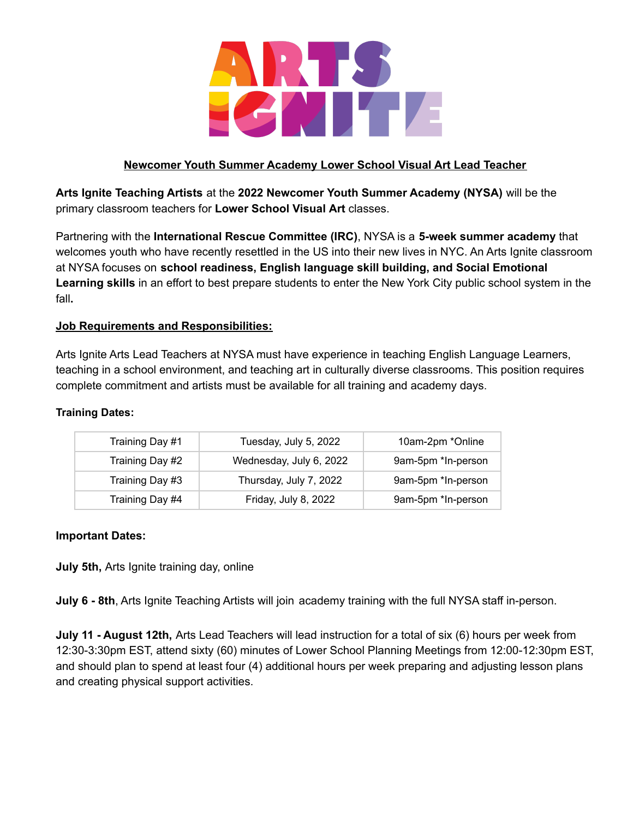

# **Newcomer Youth Summer Academy Lower School Visual Art Lead Teacher**

**Arts Ignite Teaching Artists** at the **2022 Newcomer Youth Summer Academy (NYSA)** will be the primary classroom teachers for **Lower School Visual Art** classes.

Partnering with the **International Rescue Committee (IRC)**, NYSA is a **5-week summer academy** that welcomes youth who have recently resettled in the US into their new lives in NYC. An Arts Ignite classroom at NYSA focuses on **school readiness, English language skill building, and Social Emotional Learning skills** in an effort to best prepare students to enter the New York City public school system in the fall**.**

# **Job Requirements and Responsibilities:**

Arts Ignite Arts Lead Teachers at NYSA must have experience in teaching English Language Learners, teaching in a school environment, and teaching art in culturally diverse classrooms. This position requires complete commitment and artists must be available for all training and academy days.

## **Training Dates:**

| Training Day #1 | Tuesday, July 5, 2022   | 10am-2pm *Online   |
|-----------------|-------------------------|--------------------|
| Training Day #2 | Wednesday, July 6, 2022 | 9am-5pm *In-person |
| Training Day #3 | Thursday, July 7, 2022  | 9am-5pm *In-person |
| Training Day #4 | Friday, July 8, 2022    | 9am-5pm *In-person |

## **Important Dates:**

**July 5th,** Arts Ignite training day, online

**July 6 - 8th**, Arts Ignite Teaching Artists will join academy training with the full NYSA staff in-person.

**July 11 - August 12th,** Arts Lead Teachers will lead instruction for a total of six (6) hours per week from 12:30-3:30pm EST, attend sixty (60) minutes of Lower School Planning Meetings from 12:00-12:30pm EST, and should plan to spend at least four (4) additional hours per week preparing and adjusting lesson plans and creating physical support activities.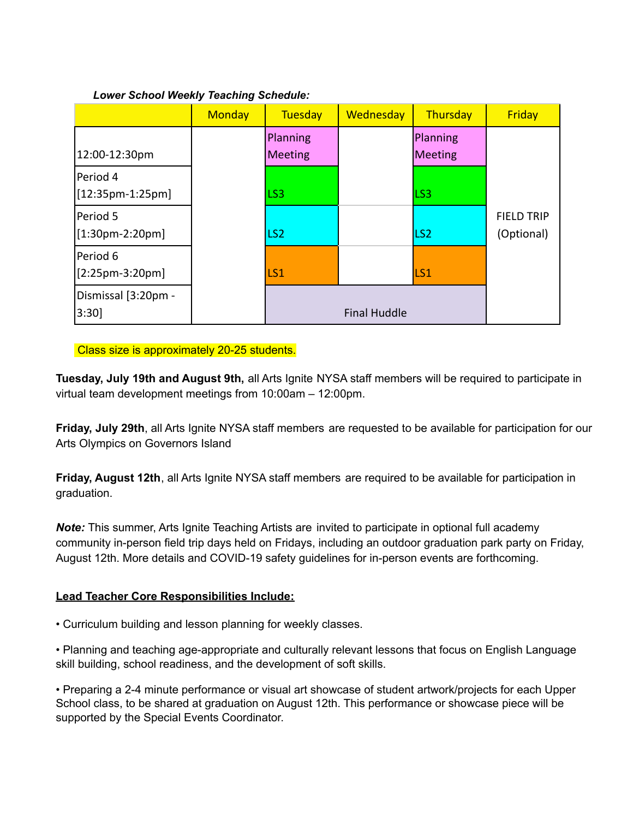## *Lower School Weekly Teaching Schedule:*

|                                | <b>Monday</b> | <b>Tuesday</b>             | <b>Wednesday</b>    | Thursday            | Friday                          |
|--------------------------------|---------------|----------------------------|---------------------|---------------------|---------------------------------|
| 12:00-12:30pm                  |               | Planning<br><b>Meeting</b> |                     | Planning<br>Meeting |                                 |
| Period 4<br>$[12:35pm-1:25pm]$ |               | LS <sub>3</sub>            |                     | LS3                 |                                 |
| Period 5<br>[1:30pm-2:20pm]    |               | LS <sub>2</sub>            |                     | LS <sub>2</sub>     | <b>FIELD TRIP</b><br>(Optional) |
| Period 6<br>$[2:25pm-3:20pm]$  |               | LS1                        |                     | LS <sub>1</sub>     |                                 |
| Dismissal [3:20pm -<br>3:30    |               |                            | <b>Final Huddle</b> |                     |                                 |

Class size is approximately 20-25 students.

**Tuesday, July 19th and August 9th,** all Arts Ignite NYSA staff members will be required to participate in virtual team development meetings from 10:00am – 12:00pm.

**Friday, July 29th**, all Arts Ignite NYSA staff members are requested to be available for participation for our Arts Olympics on Governors Island

**Friday, August 12th**, all Arts Ignite NYSA staff members are required to be available for participation in graduation.

*Note:* This summer, Arts Ignite Teaching Artists are invited to participate in optional full academy community in-person field trip days held on Fridays, including an outdoor graduation park party on Friday, August 12th. More details and COVID-19 safety guidelines for in-person events are forthcoming.

# **Lead Teacher Core Responsibilities Include:**

• Curriculum building and lesson planning for weekly classes.

• Planning and teaching age-appropriate and culturally relevant lessons that focus on English Language skill building, school readiness, and the development of soft skills.

• Preparing a 2-4 minute performance or visual art showcase of student artwork/projects for each Upper School class, to be shared at graduation on August 12th. This performance or showcase piece will be supported by the Special Events Coordinator.